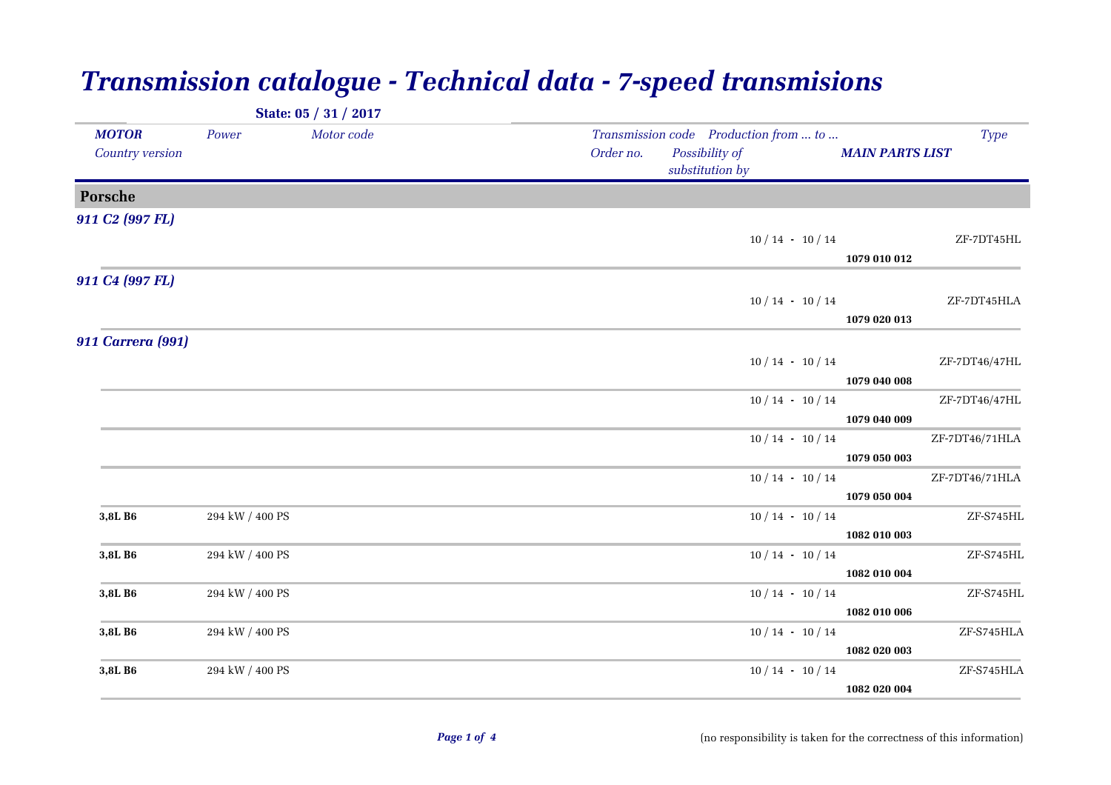|                                 |                 | State: 05 / 31 / 2017 |           |                                                                            |                        |                |  |
|---------------------------------|-----------------|-----------------------|-----------|----------------------------------------------------------------------------|------------------------|----------------|--|
| <b>MOTOR</b><br>Country version | Power           | Motor code            | Order no. | Transmission code Production from  to<br>Possibility of<br>substitution by | <b>MAIN PARTS LIST</b> | <b>Type</b>    |  |
| Porsche                         |                 |                       |           |                                                                            |                        |                |  |
| 911 C <sub>2</sub> (997 FL)     |                 |                       |           | $10/14 - 10/14$                                                            |                        | ZF-7DT45HL     |  |
| 911 C4 (997 FL)                 |                 |                       |           |                                                                            | 1079 010 012           |                |  |
|                                 |                 |                       |           | $10/14 - 10/14$                                                            | 1079 020 013           | ZF-7DT45HLA    |  |
| <b>911 Carrera (991)</b>        |                 |                       |           |                                                                            |                        |                |  |
|                                 |                 |                       |           | $10/14 - 10/14$                                                            | 1079 040 008           | ZF-7DT46/47HL  |  |
|                                 |                 |                       |           | $10/14 - 10/14$                                                            | 1079 040 009           | ZF-7DT46/47HL  |  |
|                                 |                 |                       |           | $10/14 - 10/14$                                                            | 1079 050 003           | ZF-7DT46/71HLA |  |
|                                 |                 |                       |           | $10/14 - 10/14$                                                            | 1079 050 004           | ZF-7DT46/71HLA |  |
| 3,8L B6                         | 294 kW / 400 PS |                       |           | $10/14 - 10/14$                                                            | 1082 010 003           | ZF-S745HL      |  |
| 3,8L B6                         | 294 kW / 400 PS |                       |           | $10/14 - 10/14$                                                            | 1082 010 004           | $ZF-S745HL$    |  |
| 3,8L B6                         | 294 kW / 400 PS |                       |           | $10/14 - 10/14$                                                            |                        | ZF-S745HL      |  |
| 3,8L B6                         | 294 kW / 400 PS |                       |           | $10/14 - 10/14$                                                            | 1082 010 006           | ZF-S745HLA     |  |
| 3,8L B6                         | 294 kW / 400 PS |                       |           | $10/14 - 10/14$                                                            | 1082 020 003           | ZF-S745HLA     |  |
|                                 |                 |                       |           |                                                                            | 1082 020 004           |                |  |

## *Transmission catalogue - Technical data - 7-speed transmisions*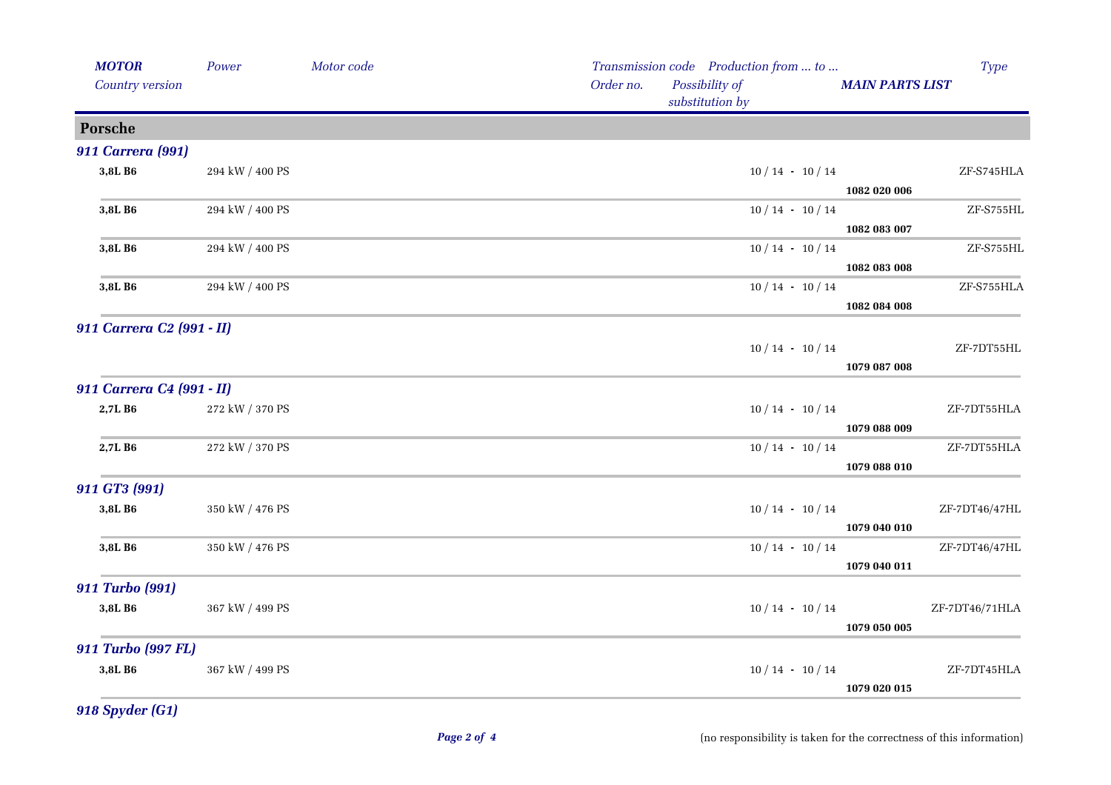| <b>MOTOR</b>              | Power           | Motor code |           | Transmission code Production from  to |                        | Type           |
|---------------------------|-----------------|------------|-----------|---------------------------------------|------------------------|----------------|
| Country version           |                 |            | Order no. | Possibility of<br>substitution by     | <b>MAIN PARTS LIST</b> |                |
| Porsche                   |                 |            |           |                                       |                        |                |
| <b>911 Carrera (991)</b>  |                 |            |           |                                       |                        |                |
| 3,8L B6                   | 294 kW / 400 PS |            |           | $10/14 - 10/14$                       |                        | ZF-S745HLA     |
|                           |                 |            |           |                                       | 1082 020 006           |                |
| 3,8L B6                   | 294 kW / 400 PS |            |           | $10/14$ - $10/14$                     |                        | ZF-S755HL      |
|                           |                 |            |           |                                       | 1082 083 007           |                |
| 3,8L B6                   | 294 kW / 400 PS |            |           | $10/14 - 10/14$                       |                        | ZF-S755HL      |
|                           |                 |            |           |                                       | 1082 083 008           |                |
| 3,8L B6                   | 294 kW / 400 PS |            |           | $10/14 - 10/14$                       |                        | ZF-S755HLA     |
|                           |                 |            |           |                                       | 1082 084 008           |                |
| 911 Carrera C2 (991 - II) |                 |            |           |                                       |                        |                |
|                           |                 |            |           | $10/14 - 10/14$                       |                        | ZF-7DT55HL     |
|                           |                 |            |           |                                       | 1079 087 008           |                |
| 911 Carrera C4 (991 - II) |                 |            |           |                                       |                        |                |
| 2,7L B6                   | 272 kW / 370 PS |            |           | $10/14 - 10/14$                       |                        | ZF-7DT55HLA    |
|                           |                 |            |           |                                       | 1079 088 009           |                |
| 2,7L B6                   | 272 kW / 370 PS |            |           | $10/14 - 10/14$                       |                        | ZF-7DT55HLA    |
|                           |                 |            |           |                                       | 1079 088 010           |                |
| 911 GT3 (991)             |                 |            |           |                                       |                        |                |
| 3,8L B6                   | 350 kW / 476 PS |            |           | $10/14 - 10/14$                       |                        | ZF-7DT46/47HL  |
|                           |                 |            |           |                                       | 1079 040 010           |                |
| 3,8L B6                   | 350 kW / 476 PS |            |           | $10/14 - 10/14$                       |                        | ZF-7DT46/47HL  |
|                           |                 |            |           |                                       | 1079 040 011           |                |
| <b>911 Turbo (991)</b>    |                 |            |           |                                       |                        |                |
| 3,8L B6                   | 367 kW / 499 PS |            |           |                                       | $10/14 - 10/14$        | ZF-7DT46/71HLA |
|                           |                 |            |           |                                       | 1079 050 005           |                |
| 911 Turbo (997 FL)        |                 |            |           |                                       |                        |                |
| 3,8L B6                   | 367 kW / 499 PS |            |           | $10/14 - 10/14$                       |                        | ZF-7DT45HLA    |
|                           |                 |            |           |                                       | 1079 020 015           |                |

*918 Spyder (G1)*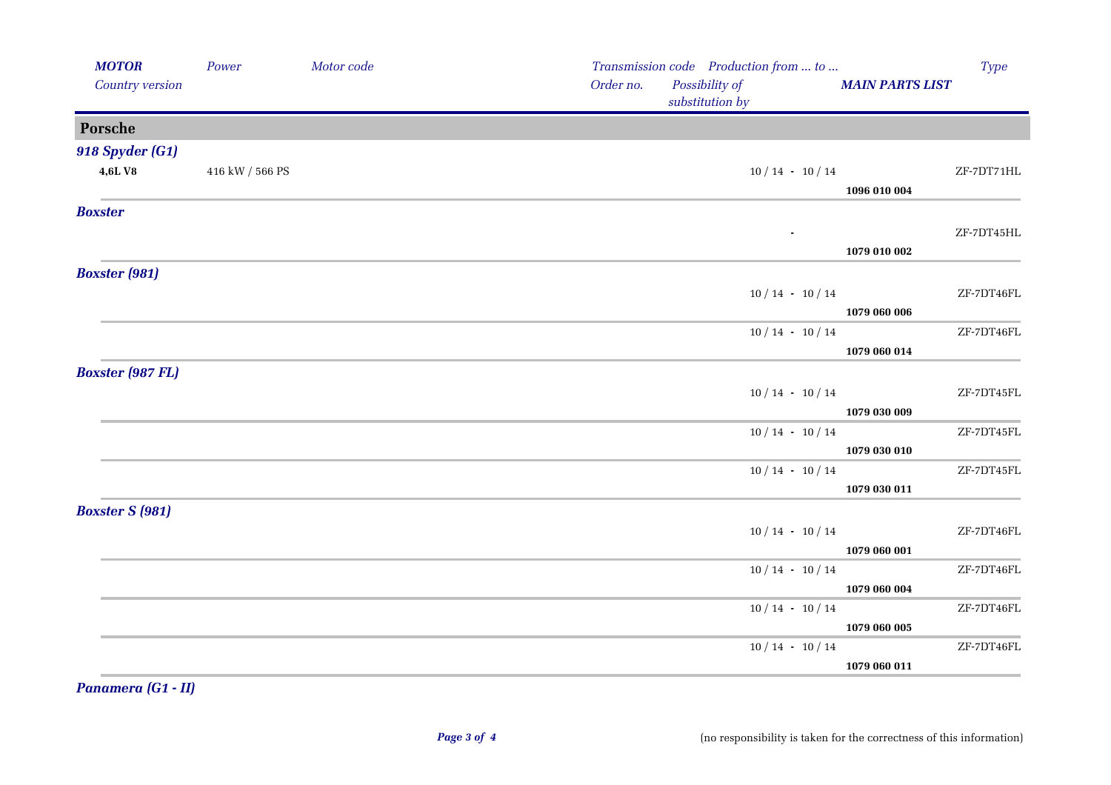| <b>MOTOR</b>            | Power               | Motor code |           | Transmission code Production from  to |                        | Type       |
|-------------------------|---------------------|------------|-----------|---------------------------------------|------------------------|------------|
| Country version         |                     |            | Order no. | Possibility of<br>substitution by     | <b>MAIN PARTS LIST</b> |            |
| Porsche                 |                     |            |           |                                       |                        |            |
| <b>918 Spyder (G1)</b>  |                     |            |           |                                       |                        |            |
| <b>4,6LV8</b>           | $416$ kW / $566$ PS |            |           | $10/14 - 10/14$                       |                        | ZF-7DT71HL |
|                         |                     |            |           |                                       | 1096 010 004           |            |
| <b>Boxster</b>          |                     |            |           |                                       |                        |            |
|                         |                     |            |           |                                       |                        | ZF-7DT45HL |
|                         |                     |            |           |                                       | 1079 010 002           |            |
| <b>Boxster</b> (981)    |                     |            |           |                                       |                        |            |
|                         |                     |            |           | $10/14 - 10/14$                       |                        | ZF-7DT46FL |
|                         |                     |            |           |                                       | 1079 060 006           |            |
|                         |                     |            |           | $10/14 - 10/14$                       |                        | ZF-7DT46FL |
|                         |                     |            |           |                                       | 1079 060 014           |            |
| <b>Boxster</b> (987 FL) |                     |            |           |                                       |                        |            |
|                         |                     |            |           | $10/14 - 10/14$                       |                        | ZF-7DT45FL |
|                         |                     |            |           |                                       | 1079 030 009           |            |
|                         |                     |            |           | $10/14 - 10/14$                       |                        | ZF-7DT45FL |
|                         |                     |            |           |                                       | 1079 030 010           |            |
|                         |                     |            |           | $10/14 - 10/14$                       |                        | ZF-7DT45FL |
|                         |                     |            |           |                                       | 1079 030 011           |            |
| <b>Boxster S (981)</b>  |                     |            |           |                                       |                        |            |
|                         |                     |            |           | $10/14 - 10/14$                       |                        | ZF-7DT46FL |
|                         |                     |            |           |                                       | 1079 060 001           |            |
|                         |                     |            |           | $10/14 - 10/14$                       |                        | ZF-7DT46FL |
|                         |                     |            |           |                                       | 1079 060 004           |            |
|                         |                     |            |           | $10/14 - 10/14$                       |                        | ZF-7DT46FL |
|                         |                     |            |           |                                       | 1079 060 005           |            |
|                         |                     |            |           | $10/14 - 10/14$                       |                        | ZF-7DT46FL |
|                         |                     |            |           |                                       | 1079 060 011           |            |

*Panamera (G1 - II)*